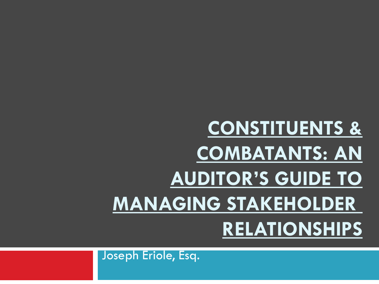Joseph Eriole, Esq.

# **CONSTITUENTS & COMBATANTS: AN AUDITOR'S GUIDE TO MANAGING STAKEHOLDER RELATIONSHIPS**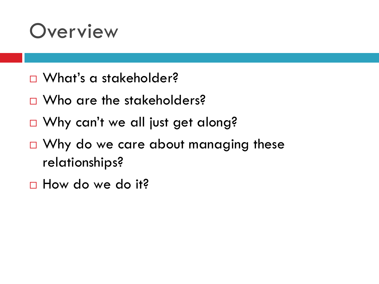#### **Overview**

- □ What's a stakeholder?
- □ Who are the stakeholders?
- □ Why can't we all just get along?
- □ Why do we care about managing these relationships?
- □ How do we do it?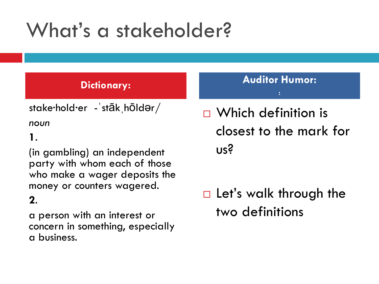# What's a stakeholder?

stake·hold·er - stāk hōldər/

*noun*

#### **1**.

(in gambling) an independent party with whom each of those who make a wager deposits the money or counters wagered.

#### **2**.

a person with an interest or concern in something, especially a business.

**Dictionary: Auditor Humor: :**

> □ Which definition is closest to the mark for us?

 $\Box$  Let's walk through the two definitions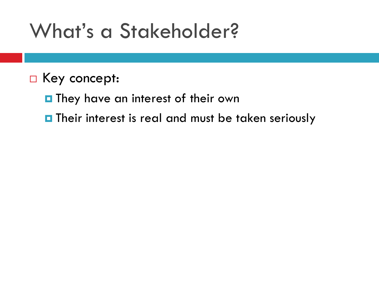### What's a Stakeholder?

- □ Key concept:
	- **They have an interest of their own**
	- **n** Their interest is real and must be taken seriously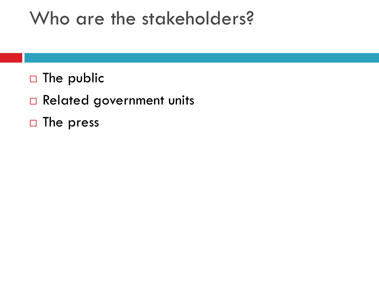#### Who are the stakeholders?

- $\Box$  The public
- Related government units
- $\Box$  The press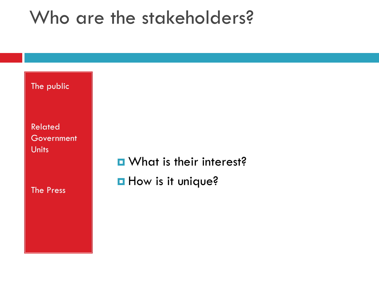#### Who are the stakeholders?

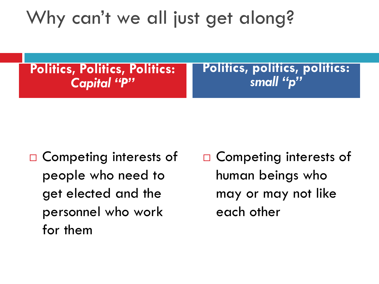#### Why can't we all just get along?

**Politics, Politics, Politics:**  *Capital "P"*

**Politics, politics, politics:**  *small "p"*

- □ Competing interests of people who need to get elected and the personnel who work for them
- □ Competing interests of human beings who may or may not like each other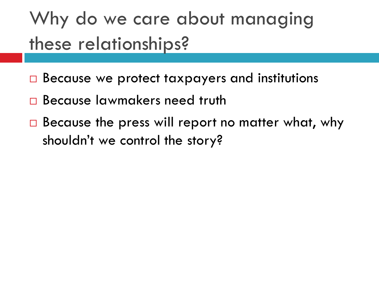### Why do we care about managing these relationships?

- $\Box$  Because we protect taxpayers and institutions
- Because lawmakers need truth
- $\Box$  Because the press will report no matter what, why shouldn't we control the story?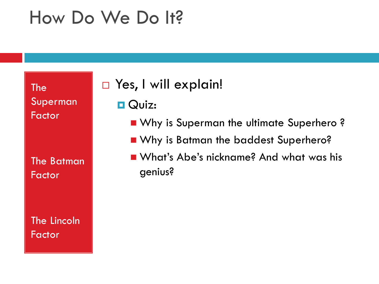#### How Do We Do It?

The Superman Factor

The Batman Factor

The Lincoln Factor

#### □ Yes, I will explain!

- **O** Quiz:
	- **Now Why is Superman the ultimate Superhero?**
	- **Now Why is Batman the baddest Superhero?**
	- What's Abe's nickname? And what was his genius?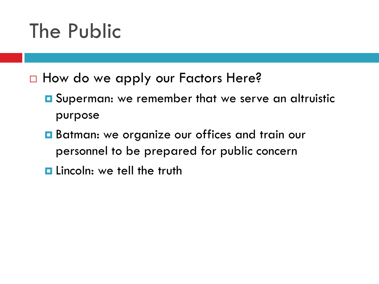## The Public

- □ How do we apply our Factors Here?
	- **O** Superman: we remember that we serve an altruistic purpose
	- **Batman: we organize our offices and train our** personnel to be prepared for public concern
	- **Lincoln: we tell the truth**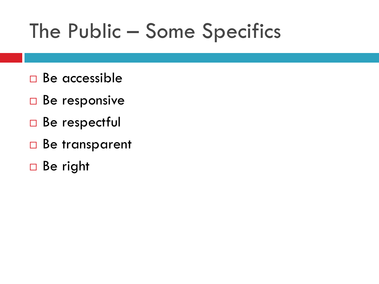## The Public – Some Specifics

- □ Be accessible
- $\Box$  Be responsive
- □ Be respectful
- □ Be transparent
- □ Be right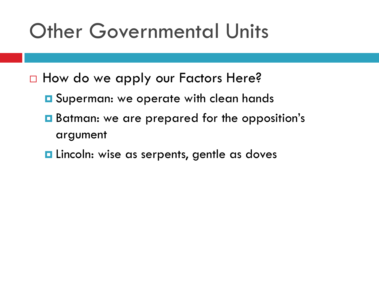### Other Governmental Units

- □ How do we apply our Factors Here?
	- **Q** Superman: we operate with clean hands
	- Batman: we are prepared for the opposition's argument
	- **Lincoln:** wise as serpents, gentle as doves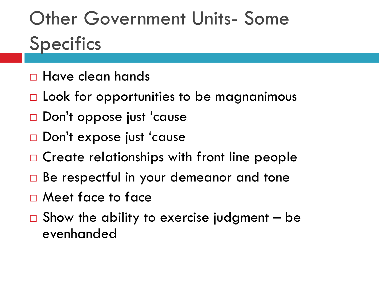# Other Government Units- Some **Specifics**

- Have clean hands
- $\Box$  Look for opportunities to be magnanimous
- □ Don't oppose just 'cause
- Don't expose just 'cause
- $\Box$  Create relationships with front line people
- Be respectful in your demeanor and tone
- Meet face to face
- $\Box$  Show the ability to exercise judgment be evenhanded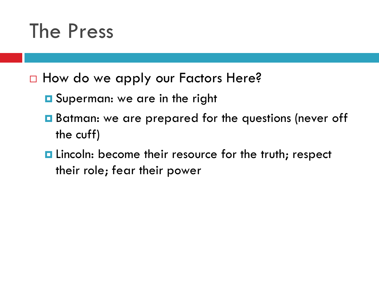#### The Press

- □ How do we apply our Factors Here?
	- **Q** Superman: we are in the right
	- Batman: we are prepared for the questions (never off the cuff)
	- **E** Lincoln: become their resource for the truth; respect their role; fear their power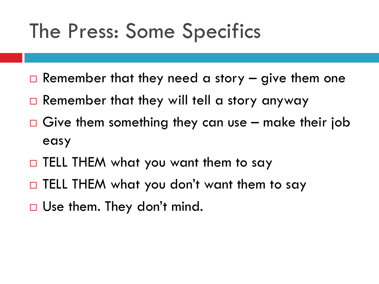### The Press: Some Specifics

- $\Box$  Remember that they need a story  $-$  give them one
- $\Box$  Remember that they will tell a story anyway
- $\Box$  Give them something they can use make their job easy
- $\Box$  TELL THEM what you want them to say
- □ TELL THEM what you don't want them to say
- □ Use them. They don't mind.